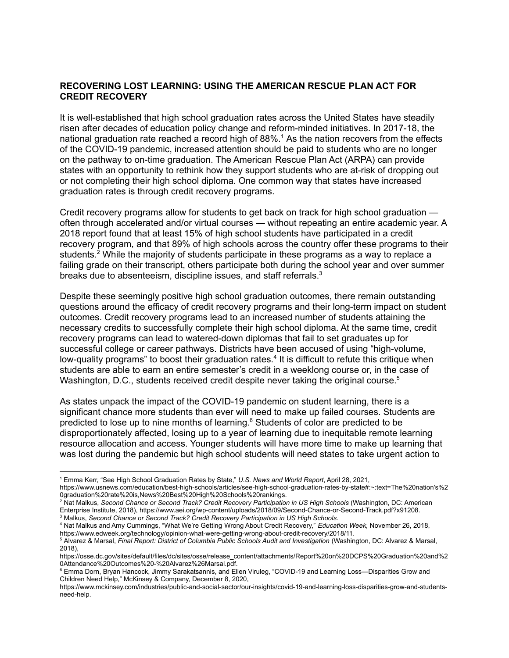## **RECOVERING LOST LEARNING: USING THE AMERICAN RESCUE PLAN ACT FOR CREDIT RECOVERY**

It is well-established that high school graduation rates across the United States have steadily risen after decades of education policy change and reform-minded initiatives. In 2017-18, the national graduation rate reached a record high of 88%.<sup>1</sup> As the nation recovers from the effects of the COVID-19 pandemic, increased attention should be paid to students who are no longer on the pathway to on-time graduation. The American Rescue Plan Act (ARPA) can provide states with an opportunity to rethink how they support students who are at-risk of dropping out or not completing their high school diploma. One common way that states have increased graduation rates is through credit recovery programs.

Credit recovery programs allow for students to get back on track for high school graduation often through accelerated and/or virtual courses — without repeating an entire academic year. A 2018 report found that at least 15% of high school students have participated in a credit recovery program, and that 89% of high schools across the country offer these programs to their students.<sup>2</sup> While the majority of students participate in these programs as a way to replace a failing grade on their transcript, others participate both during the school year and over summer breaks due to absenteeism, discipline issues, and staff referrals.<sup>3</sup>

Despite these seemingly positive high school graduation outcomes, there remain outstanding questions around the efficacy of credit recovery programs and their long-term impact on student outcomes. Credit recovery programs lead to an increased number of students attaining the necessary credits to successfully complete their high school diploma. At the same time, credit recovery programs can lead to watered-down diplomas that fail to set graduates up for successful college or career pathways. Districts have been accused of using "high-volume, low-quality programs" to boost their graduation rates.<sup>4</sup> It is difficult to refute this critique when students are able to earn an entire semester's credit in a weeklong course or, in the case of Washington, D.C., students received credit despite never taking the original course.<sup>5</sup>

As states unpack the impact of the COVID-19 pandemic on student learning, there is a significant chance more students than ever will need to make up failed courses. Students are predicted to lose up to nine months of learning. <sup>6</sup> Students of color are predicted to be disproportionately affected, losing up to a year of learning due to inequitable remote learning resource allocation and access. Younger students will have more time to make up learning that was lost during the pandemic but high school students will need states to take urgent action to

<sup>1</sup> Emma Kerr, "See High School Graduation Rates by State," *U.S. News and World Report*, April 28, 2021,

https://www.usnews.com/education/best-high-schools/articles/see-high-school-graduation-rates-by-state#:~:text=The%20nation's%2 0graduation%20rate%20is,News%20Best%20High%20Schools%20rankings.

<sup>3</sup> Malkus, *Second Chance or Second Track? Credit Recovery Participation in US High Schools.* <sup>2</sup> Nat Malkus, *Second Chance or Second Track? Credit Recovery Participation in US High Schools* (Washington, DC: American Enterprise Institute, 2018), https://www.aei.org/wp-content/uploads/2018/09/Second-Chance-or-Second-Track.pdf?x91208.

<sup>4</sup> Nat Malkus and Amy Cummings, "What We're Getting Wrong About Credit Recovery," *Education Week,* November 26, 2018, https://www.edweek.org/technology/opinion-what-were-getting-wrong-about-credit-recovery/2018/11.

<sup>5</sup> Alvarez & Marsal, *Final Report: District of Columbia Public Schools Audit and Investigation* (Washington, DC: Alvarez & Marsal, 2018),

https://osse.dc.gov/sites/default/files/dc/sites/osse/release\_content/attachments/Report%20on%20DCPS%20Graduation%20and%2 0Attendance%20Outcomes%20-%20Alvarez%26Marsal.pdf.

<sup>6</sup> Emma Dorn, Bryan Hancock, Jimmy Sarakatsannis, and Ellen Viruleg, "COVID-19 and Learning Loss—Disparities Grow and Children Need Help," McKinsey & Company, December 8, 2020,

https://www.mckinsey.com/industries/public-and-social-sector/our-insights/covid-19-and-learning-loss-disparities-grow-and-studentsneed-help.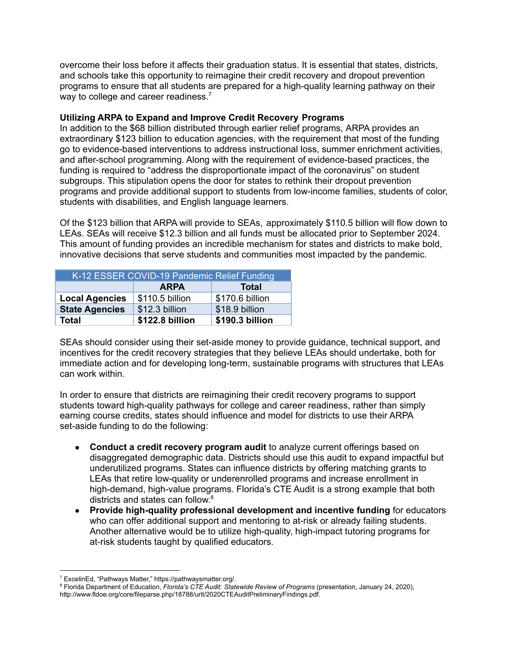overcome their loss before it affects their graduation status. It is essential that states, districts, and schools take this opportunity to reimagine their credit recovery and dropout prevention programs to ensure that all students are prepared for a high-quality learning pathway on their way to college and career readiness.<sup>7</sup>

## **Utilizing ARPA to Expand and Improve Credit Recovery Programs**

In addition to the \$68 billion distributed through earlier relief programs, ARPA provides an extraordinary \$123 billion to education agencies, with the requirement that most of the funding go to evidence-based interventions to address instructional loss, summer enrichment activities, and after-school programming. Along with the requirement of evidence-based practices, the funding is required to "address the disproportionate impact of the coronavirus" on student subgroups. This stipulation opens the door for states to rethink their dropout prevention programs and provide additional support to students from low-income families, students of color, students with disabilities, and English language learners.

Of the \$123 billion that ARPA will provide to SEAs, approximately \$110.5 billion will flow down to LEAs. SEAs will receive \$12.3 billion and all funds must be allocated prior to September 2024. This amount of funding provides an incredible mechanism for states and districts to make bold, innovative decisions that serve students and communities most impacted by the pandemic.

| K-12 ESSER COVID-19 Pandemic Relief Funding |                 |                 |
|---------------------------------------------|-----------------|-----------------|
|                                             | <b>ARPA</b>     | <b>Total</b>    |
| <b>Local Agencies</b>                       | \$110.5 billion | \$170.6 billion |
| <b>State Agencies</b>                       | \$12.3 billion  | \$18.9 billion  |
| <b>Total</b>                                | \$122.8 billion | \$190.3 billion |

SEAs should consider using their set-aside money to provide guidance, technical support, and incentives for the credit recovery strategies that they believe LEAs should undertake, both for immediate action and for developing long-term, sustainable programs with structures that LEAs can work within.

In order to ensure that districts are reimagining their credit recovery programs to support students toward high-quality pathways for college and career readiness, rather than simply earning course credits, states should influence and model for districts to use their ARPA set-aside funding to do the following:

- **Conduct a credit recovery program audit** to analyze current offerings based on disaggregated demographic data. Districts should use this audit to expand impactful but underutilized programs. States can influence districts by offering matching grants to LEAs that retire low-quality or underenrolled programs and increase enrollment in high-demand, high-value programs. Florida's CTE Audit is a strong example that both districts and states can follow.<sup>8</sup>
- **Provide high-quality professional development and incentive funding** for educators who can offer additional support and mentoring to at-risk or already failing students. Another alternative would be to utilize high-quality, high-impact tutoring programs for at-risk students taught by qualified educators.

<sup>7</sup> ExcelinEd, "Pathways Matter," https://pathwaysmatter.org/.

<sup>8</sup> Florida Department of Education, *Florida's CTE Audit: Statewide Review of Programs* (presentation, January 24, 2020), http://www.fldoe.org/core/fileparse.php/18788/urlt/2020CTEAuditPreliminaryFindings.pdf.